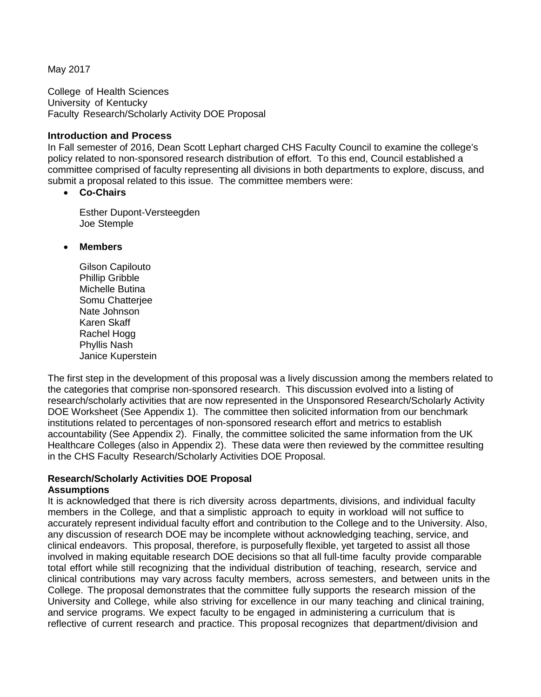May 2017

College of Health Sciences University of Kentucky Faculty Research/Scholarly Activity DOE Proposal

#### **Introduction and Process**

In Fall semester of 2016, Dean Scott Lephart charged CHS Faculty Council to examine the college's policy related to non-sponsored research distribution of effort. To this end, Council established a committee comprised of faculty representing all divisions in both departments to explore, discuss, and submit a proposal related to this issue. The committee members were:

• **Co-Chairs**

Esther Dupont-Versteegden Joe Stemple

- **Members**
	- Gilson Capilouto Phillip Gribble Michelle Butina Somu Chatterjee Nate Johnson Karen Skaff Rachel Hogg Phyllis Nash Janice Kuperstein

The first step in the development of this proposal was a lively discussion among the members related to the categories that comprise non-sponsored research. This discussion evolved into a listing of research/scholarly activities that are now represented in the Unsponsored Research/Scholarly Activity DOE Worksheet (See Appendix 1). The committee then solicited information from our benchmark institutions related to percentages of non-sponsored research effort and metrics to establish accountability (See Appendix 2). Finally, the committee solicited the same information from the UK Healthcare Colleges (also in Appendix 2). These data were then reviewed by the committee resulting in the CHS Faculty Research/Scholarly Activities DOE Proposal.

## **Research/Scholarly Activities DOE Proposal**

#### **Assumptions**

It is acknowledged that there is rich diversity across departments, divisions, and individual faculty members in the College, and that a simplistic approach to equity in workload will not suffice to accurately represent individual faculty effort and contribution to the College and to the University. Also, any discussion of research DOE may be incomplete without acknowledging teaching, service, and clinical endeavors. This proposal, therefore, is purposefully flexible, yet targeted to assist all those involved in making equitable research DOE decisions so that all full-time faculty provide comparable total effort while still recognizing that the individual distribution of teaching, research, service and clinical contributions may vary across faculty members, across semesters, and between units in the College. The proposal demonstrates that the committee fully supports the research mission of the University and College, while also striving for excellence in our many teaching and clinical training, and service programs. We expect faculty to be engaged in administering a curriculum that is reflective of current research and practice. This proposal recognizes that department/division and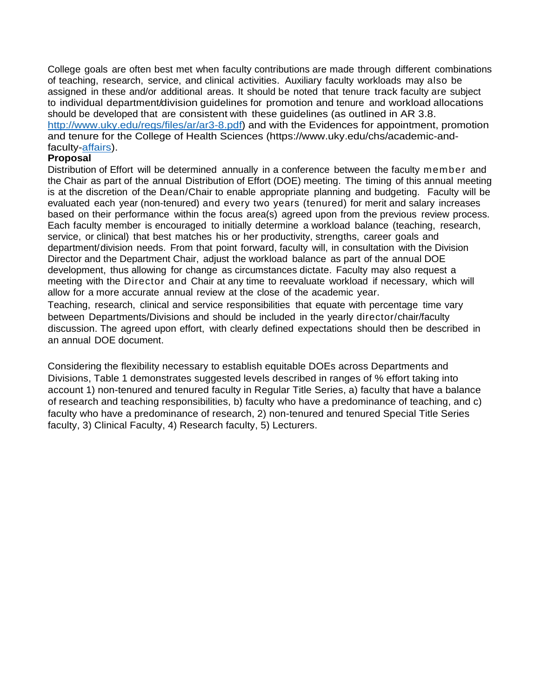College goals are often best met when faculty contributions are made through different combinations of teaching, research, service, and clinical activities. Auxiliary faculty workloads may also be assigned in these and/or additional areas. It should be noted that tenure track faculty are subject to individual department/division guidelines for promotion and tenure and workload allocations should be developed that are consistent with these guidelines (as outlined in AR 3.8. [http://www.uky.edu/regs/files/ar/ar3-8.pdf\)](http://www.uky.edu/regs/files/ar/ar3-8.pdf) and with the Evidences for appointment, promotion and tenure for the College of Health Sciences (https://www.uky.edu/chs/academic-andfaculty[-affairs\)](https://www.uky.edu/chs/academic-and-faculty-affairs).

### **Proposal**

Distribution of Effort will be determined annually in a conference between the faculty member and the Chair as part of the annual Distribution of Effort (DOE) meeting. The timing of this annual meeting is at the discretion of the Dean/Chair to enable appropriate planning and budgeting. Faculty will be evaluated each year (non-tenured) and every two years (tenured) for merit and salary increases based on their performance within the focus area(s) agreed upon from the previous review process. Each faculty member is encouraged to initially determine a workload balance (teaching, research, service, or clinical) that best matches his or her productivity, strengths, career goals and department/division needs. From that point forward, faculty will, in consultation with the Division Director and the Department Chair, adjust the workload balance as part of the annual DOE development, thus allowing for change as circumstances dictate. Faculty may also request a meeting with the Director and Chair at any time to reevaluate workload if necessary, which will allow for a more accurate annual review at the close of the academic year.

Teaching, research, clinical and service responsibilities that equate with percentage time vary between Departments/Divisions and should be included in the yearly director/chair/faculty discussion. The agreed upon effort, with clearly defined expectations should then be described in an annual DOE document.

Considering the flexibility necessary to establish equitable DOEs across Departments and Divisions, Table 1 demonstrates suggested levels described in ranges of % effort taking into account 1) non-tenured and tenured faculty in Regular Title Series, a) faculty that have a balance of research and teaching responsibilities, b) faculty who have a predominance of teaching, and c) faculty who have a predominance of research, 2) non-tenured and tenured Special Title Series faculty, 3) Clinical Faculty, 4) Research faculty, 5) Lecturers.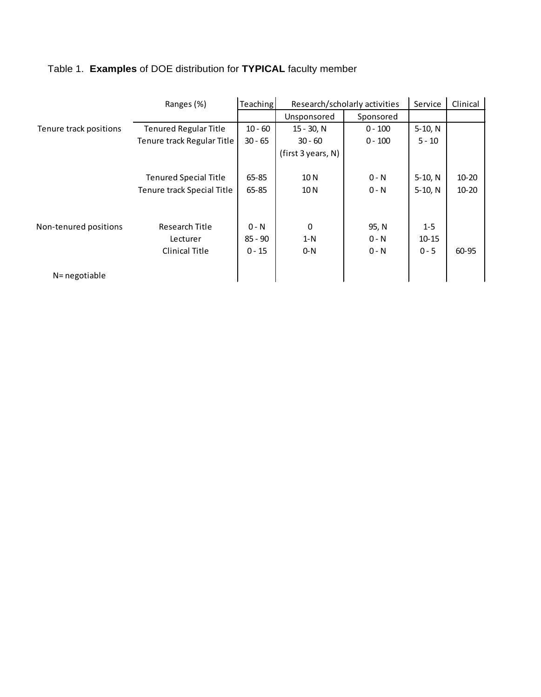|                        | Ranges (%)                   | Teaching  | Research/scholarly activities |           | Service   | Clinical  |
|------------------------|------------------------------|-----------|-------------------------------|-----------|-----------|-----------|
|                        |                              |           | Unsponsored                   | Sponsored |           |           |
| Tenure track positions | <b>Tenured Regular Title</b> | $10 - 60$ | $15 - 30$ , N                 | $0 - 100$ | $5-10, N$ |           |
|                        | Tenure track Regular Title   | $30 - 65$ | $30 - 60$                     | $0 - 100$ | $5 - 10$  |           |
|                        |                              |           | (first 3 years, N)            |           |           |           |
|                        |                              |           |                               |           |           |           |
|                        | <b>Tenured Special Title</b> | $65 - 85$ | 10 N                          | $0 - N$   | $5-10, N$ | $10 - 20$ |
|                        | Tenure track Special Title   | 65-85     | 10 N                          | $0 - N$   | $5-10, N$ | $10 - 20$ |
|                        |                              |           |                               |           |           |           |
|                        |                              |           |                               |           |           |           |
| Non-tenured positions  | Research Title               | $0 - N$   | 0                             | 95, N     | $1 - 5$   |           |
|                        | Lecturer                     | $85 - 90$ | $1-N$                         | $0 - N$   | $10 - 15$ |           |
|                        | Clinical Title               | $0 - 15$  | $0-N$                         | $0 - N$   | $0 - 5$   | 60-95     |
|                        |                              |           |                               |           |           |           |
| N= negotiable          |                              |           |                               |           |           |           |

# Table 1. **Examples** of DOE distribution for **TYPICAL** faculty member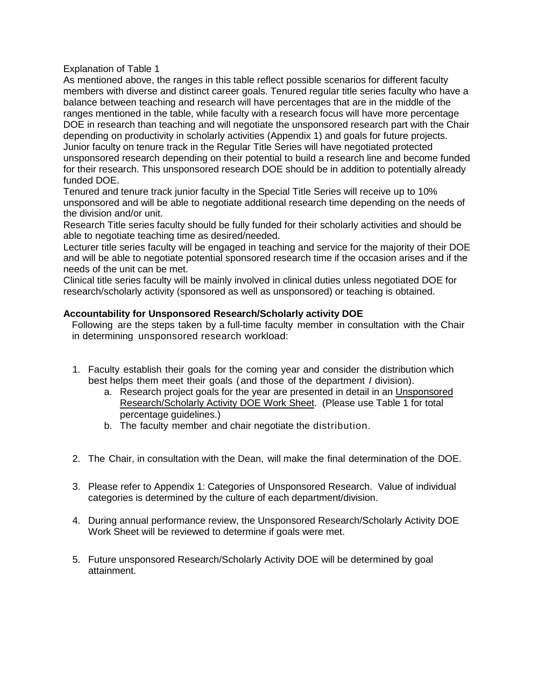Explanation of Table 1

As mentioned above, the ranges in this table reflect possible scenarios for different faculty members with diverse and distinct career goals. Tenured regular title series faculty who have a balance between teaching and research will have percentages that are in the middle of the ranges mentioned in the table, while faculty with a research focus will have more percentage DOE in research than teaching and will negotiate the unsponsored research part with the Chair depending on productivity in scholarly activities (Appendix 1) and goals for future projects. Junior faculty on tenure track in the Regular Title Series will have negotiated protected unsponsored research depending on their potential to build a research line and become funded for their research. This unsponsored research DOE should be in addition to potentially already funded DOE.

Tenured and tenure track junior faculty in the Special Title Series will receive up to 10% unsponsored and will be able to negotiate additional research time depending on the needs of the division and/or unit.

Research Title series faculty should be fully funded for their scholarly activities and should be able to negotiate teaching time as desired/needed.

Lecturer title series faculty will be engaged in teaching and service for the majority of their DOE and will be able to negotiate potential sponsored research time if the occasion arises and if the needs of the unit can be met.

Clinical title series faculty will be mainly involved in clinical duties unless negotiated DOE for research/scholarly activity (sponsored as well as unsponsored) or teaching is obtained.

### **Accountability for Unsponsored Research/Scholarly activity DOE**

Following are the steps taken by a full-time faculty member in consultation with the Chair in determining unsponsored research workload:

- 1. Faculty establish their goals for the coming year and consider the distribution which best helps them meet their goals (and those of the department *I* division).
	- a. Research project goals for the year are presented in detail in an Unsponsored Research/Scholarly Activity DOE Work Sheet. (Please use Table 1 for total percentage guidelines.)
	- b. The faculty member and chair negotiate the distribution.
- 2. The Chair, in consultation with the Dean, will make the final determination of the DOE.
- 3. Please refer to Appendix 1: Categories of Unsponsored Research. Value of individual categories is determined by the culture of each department/division.
- 4. During annual performance review, the Unsponsored Research/Scholarly Activity DOE Work Sheet will be reviewed to determine if goals were met.
- 5. Future unsponsored Research/Scholarly Activity DOE will be determined by goal attainment.